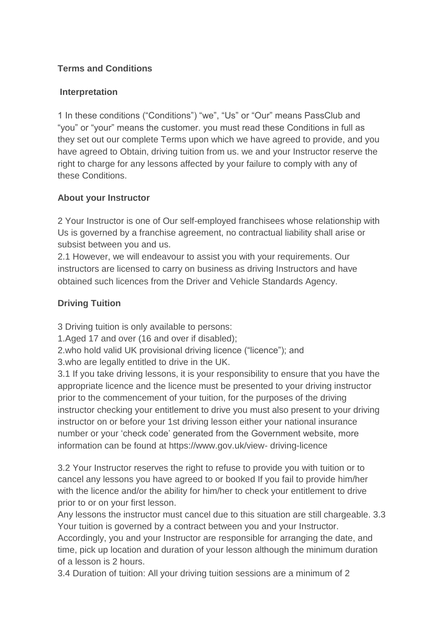### **Terms and Conditions**

#### **Interpretation**

1 In these conditions ("Conditions") "we", "Us" or "Our" means PassClub and "you" or "your" means the customer. you must read these Conditions in full as they set out our complete Terms upon which we have agreed to provide, and you have agreed to Obtain, driving tuition from us. we and your Instructor reserve the right to charge for any lessons affected by your failure to comply with any of these Conditions.

### **About your Instructor**

2 Your Instructor is one of Our self-employed franchisees whose relationship with Us is governed by a franchise agreement, no contractual liability shall arise or subsist between you and us.

2.1 However, we will endeavour to assist you with your requirements. Our instructors are licensed to carry on business as driving Instructors and have obtained such licences from the Driver and Vehicle Standards Agency.

## **Driving Tuition**

3 Driving tuition is only available to persons:

1.Aged 17 and over (16 and over if disabled);

2.who hold valid UK provisional driving licence ("licence"); and

3.who are legally entitled to drive in the UK.

3.1 If you take driving lessons, it is your responsibility to ensure that you have the appropriate licence and the licence must be presented to your driving instructor prior to the commencement of your tuition, for the purposes of the driving instructor checking your entitlement to drive you must also present to your driving instructor on or before your 1st driving lesson either your national insurance number or your 'check code' generated from the Government website, more information can be found at https://www.gov.uk/view- driving-licence

3.2 Your Instructor reserves the right to refuse to provide you with tuition or to cancel any lessons you have agreed to or booked If you fail to provide him/her with the licence and/or the ability for him/her to check your entitlement to drive prior to or on your first lesson.

Any lessons the instructor must cancel due to this situation are still chargeable. 3.3 Your tuition is governed by a contract between you and your Instructor.

Accordingly, you and your Instructor are responsible for arranging the date, and time, pick up location and duration of your lesson although the minimum duration of a lesson is 2 hours.

3.4 Duration of tuition: All your driving tuition sessions are a minimum of 2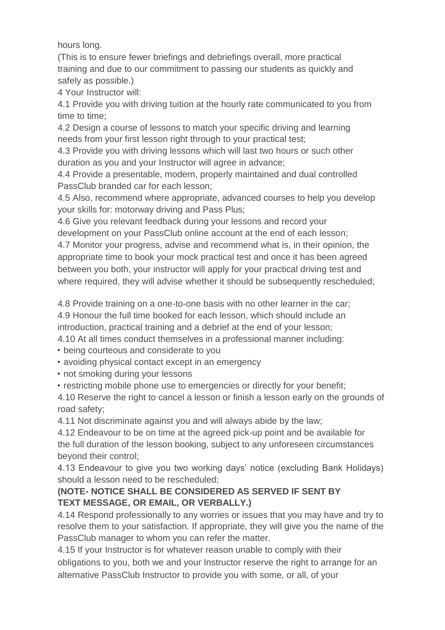hours long.

(This is to ensure fewer briefings and debriefings overall, more practical training and due to our commitment to passing our students as quickly and safely as possible.)

4 Your Instructor will:

4.1 Provide you with driving tuition at the hourly rate communicated to you from time to time;

4.2 Design a course of lessons to match your specific driving and learning needs from your first lesson right through to your practical test;

4.3 Provide you with driving lessons which will last two hours or such other duration as you and your Instructor will agree in advance;

4.4 Provide a presentable, modern, properly maintained and dual controlled PassClub branded car for each lesson;

4.5 Also, recommend where appropriate, advanced courses to help you develop your skills for: motorway driving and Pass Plus;

4.6 Give you relevant feedback during your lessons and record your development on your PassClub online account at the end of each lesson; 4.7 Monitor your progress, advise and recommend what is, in their opinion, the appropriate time to book your mock practical test and once it has been agreed between you both, your instructor will apply for your practical driving test and where required, they will advise whether it should be subsequently rescheduled;

4.8 Provide training on a one-to-one basis with no other learner in the car; 4.9 Honour the full time booked for each lesson, which should include an introduction, practical training and a debrief at the end of your lesson;

4.10 At all times conduct themselves in a professional manner including:

• being courteous and considerate to you

• avoiding physical contact except in an emergency

• not smoking during your lessons

• restricting mobile phone use to emergencies or directly for your benefit;

4.10 Reserve the right to cancel a lesson or finish a lesson early on the grounds of road safety;

4.11 Not discriminate against you and will always abide by the law;

4.12 Endeavour to be on time at the agreed pick-up point and be available for the full duration of the lesson booking, subject to any unforeseen circumstances beyond their control;

4.13 Endeavour to give you two working days' notice (excluding Bank Holidays) should a lesson need to be rescheduled;

## **(NOTE- NOTICE SHALL BE CONSIDERED AS SERVED IF SENT BY TEXT MESSAGE, OR EMAIL, OR VERBALLY.)**

4.14 Respond professionally to any worries or issues that you may have and try to resolve them to your satisfaction. If appropriate, they will give you the name of the PassClub manager to whom you can refer the matter.

4.15 If your Instructor is for whatever reason unable to comply with their obligations to you, both we and your Instructor reserve the right to arrange for an alternative PassClub Instructor to provide you with some, or all, of your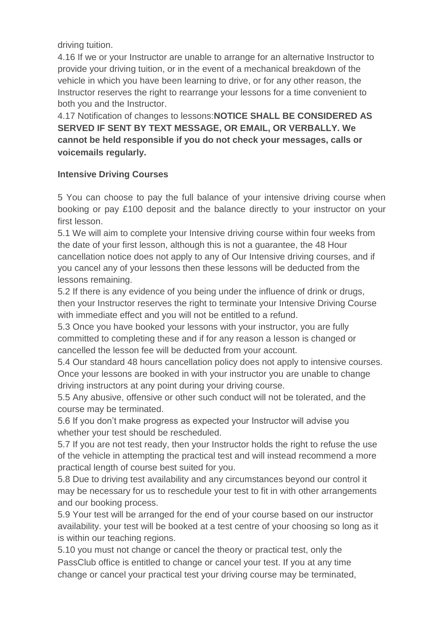driving tuition.

4.16 If we or your Instructor are unable to arrange for an alternative Instructor to provide your driving tuition, or in the event of a mechanical breakdown of the vehicle in which you have been learning to drive, or for any other reason, the Instructor reserves the right to rearrange your lessons for a time convenient to both you and the Instructor.

4.17 Notification of changes to lessons:**NOTICE SHALL BE CONSIDERED AS SERVED IF SENT BY TEXT MESSAGE, OR EMAIL, OR VERBALLY. We cannot be held responsible if you do not check your messages, calls or voicemails regularly.**

#### **Intensive Driving Courses**

5 You can choose to pay the full balance of your intensive driving course when booking or pay £100 deposit and the balance directly to your instructor on your first lesson.

5.1 We will aim to complete your Intensive driving course within four weeks from the date of your first lesson, although this is not a guarantee, the 48 Hour cancellation notice does not apply to any of Our Intensive driving courses, and if you cancel any of your lessons then these lessons will be deducted from the lessons remaining.

5.2 If there is any evidence of you being under the influence of drink or drugs, then your Instructor reserves the right to terminate your Intensive Driving Course with immediate effect and you will not be entitled to a refund.

5.3 Once you have booked your lessons with your instructor, you are fully committed to completing these and if for any reason a lesson is changed or cancelled the lesson fee will be deducted from your account.

5.4 Our standard 48 hours cancellation policy does not apply to intensive courses. Once your lessons are booked in with your instructor you are unable to change driving instructors at any point during your driving course.

5.5 Any abusive, offensive or other such conduct will not be tolerated, and the course may be terminated.

5.6 If you don't make progress as expected your Instructor will advise you whether your test should be rescheduled.

5.7 If you are not test ready, then your Instructor holds the right to refuse the use of the vehicle in attempting the practical test and will instead recommend a more practical length of course best suited for you.

5.8 Due to driving test availability and any circumstances beyond our control it may be necessary for us to reschedule your test to fit in with other arrangements and our booking process.

5.9 Your test will be arranged for the end of your course based on our instructor availability. your test will be booked at a test centre of your choosing so long as it is within our teaching regions.

5.10 you must not change or cancel the theory or practical test, only the PassClub office is entitled to change or cancel your test. If you at any time change or cancel your practical test your driving course may be terminated,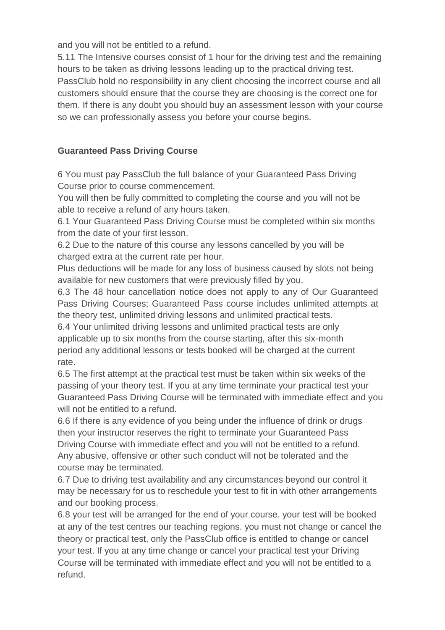and you will not be entitled to a refund.

5.11 The Intensive courses consist of 1 hour for the driving test and the remaining hours to be taken as driving lessons leading up to the practical driving test. PassClub hold no responsibility in any client choosing the incorrect course and all customers should ensure that the course they are choosing is the correct one for them. If there is any doubt you should buy an assessment lesson with your course so we can professionally assess you before your course begins.

## **Guaranteed Pass Driving Course**

6 You must pay PassClub the full balance of your Guaranteed Pass Driving Course prior to course commencement.

You will then be fully committed to completing the course and you will not be able to receive a refund of any hours taken.

6.1 Your Guaranteed Pass Driving Course must be completed within six months from the date of your first lesson.

6.2 Due to the nature of this course any lessons cancelled by you will be charged extra at the current rate per hour.

Plus deductions will be made for any loss of business caused by slots not being available for new customers that were previously filled by you.

6.3 The 48 hour cancellation notice does not apply to any of Our Guaranteed Pass Driving Courses; Guaranteed Pass course includes unlimited attempts at the theory test, unlimited driving lessons and unlimited practical tests.

6.4 Your unlimited driving lessons and unlimited practical tests are only applicable up to six months from the course starting, after this six-month period any additional lessons or tests booked will be charged at the current rate.

6.5 The first attempt at the practical test must be taken within six weeks of the passing of your theory test. If you at any time terminate your practical test your Guaranteed Pass Driving Course will be terminated with immediate effect and you will not be entitled to a refund.

6.6 If there is any evidence of you being under the influence of drink or drugs then your instructor reserves the right to terminate your Guaranteed Pass Driving Course with immediate effect and you will not be entitled to a refund. Any abusive, offensive or other such conduct will not be tolerated and the course may be terminated.

6.7 Due to driving test availability and any circumstances beyond our control it may be necessary for us to reschedule your test to fit in with other arrangements and our booking process.

6.8 your test will be arranged for the end of your course. your test will be booked at any of the test centres our teaching regions. you must not change or cancel the theory or practical test, only the PassClub office is entitled to change or cancel your test. If you at any time change or cancel your practical test your Driving Course will be terminated with immediate effect and you will not be entitled to a refund.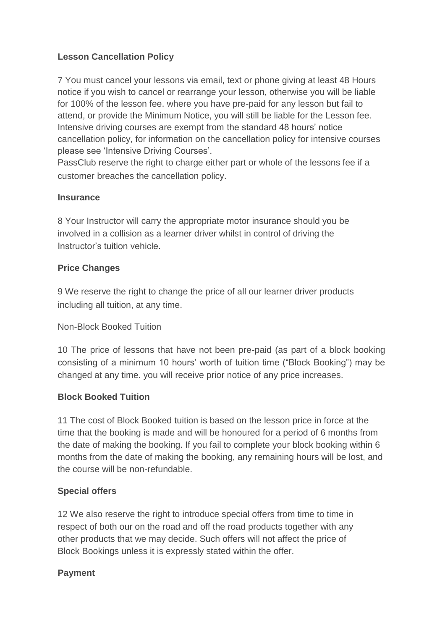### **Lesson Cancellation Policy**

7 You must cancel your lessons via email, text or phone giving at least 48 Hours notice if you wish to cancel or rearrange your lesson, otherwise you will be liable for 100% of the lesson fee. where you have pre-paid for any lesson but fail to attend, or provide the Minimum Notice, you will still be liable for the Lesson fee. Intensive driving courses are exempt from the standard 48 hours' notice cancellation policy, for information on the cancellation policy for intensive courses please see 'Intensive Driving Courses'.

PassClub reserve the right to charge either part or whole of the lessons fee if a customer breaches the cancellation policy.

#### **Insurance**

8 Your Instructor will carry the appropriate motor insurance should you be involved in a collision as a learner driver whilst in control of driving the Instructor's tuition vehicle.

#### **Price Changes**

9 We reserve the right to change the price of all our learner driver products including all tuition, at any time.

#### Non-Block Booked Tuition

10 The price of lessons that have not been pre-paid (as part of a block booking consisting of a minimum 10 hours' worth of tuition time ("Block Booking") may be changed at any time. you will receive prior notice of any price increases.

#### **Block Booked Tuition**

11 The cost of Block Booked tuition is based on the lesson price in force at the time that the booking is made and will be honoured for a period of 6 months from the date of making the booking. If you fail to complete your block booking within 6 months from the date of making the booking, any remaining hours will be lost, and the course will be non-refundable.

#### **Special offers**

12 We also reserve the right to introduce special offers from time to time in respect of both our on the road and off the road products together with any other products that we may decide. Such offers will not affect the price of Block Bookings unless it is expressly stated within the offer.

#### **Payment**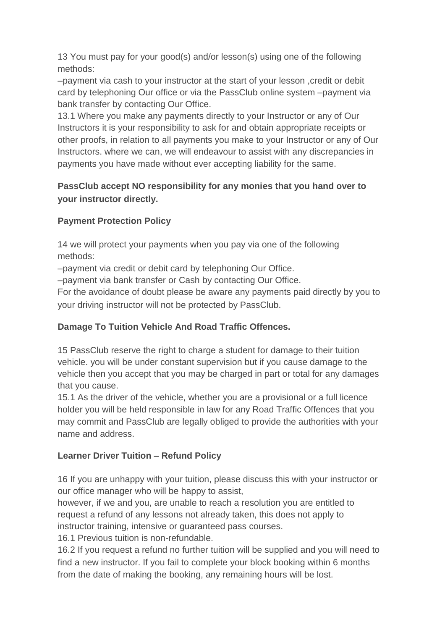13 You must pay for your good(s) and/or lesson(s) using one of the following methods:

–payment via cash to your instructor at the start of your lesson ,credit or debit card by telephoning Our office or via the PassClub online system –payment via bank transfer by contacting Our Office.

13.1 Where you make any payments directly to your Instructor or any of Our Instructors it is your responsibility to ask for and obtain appropriate receipts or other proofs, in relation to all payments you make to your Instructor or any of Our Instructors. where we can, we will endeavour to assist with any discrepancies in payments you have made without ever accepting liability for the same.

# **PassClub accept NO responsibility for any monies that you hand over to your instructor directly.**

# **Payment Protection Policy**

14 we will protect your payments when you pay via one of the following methods:

–payment via credit or debit card by telephoning Our Office.

–payment via bank transfer or Cash by contacting Our Office.

For the avoidance of doubt please be aware any payments paid directly by you to your driving instructor will not be protected by PassClub.

# **Damage To Tuition Vehicle And Road Traffic Offences.**

15 PassClub reserve the right to charge a student for damage to their tuition vehicle. you will be under constant supervision but if you cause damage to the vehicle then you accept that you may be charged in part or total for any damages that you cause.

15.1 As the driver of the vehicle, whether you are a provisional or a full licence holder you will be held responsible in law for any Road Traffic Offences that you may commit and PassClub are legally obliged to provide the authorities with your name and address.

# **Learner Driver Tuition – Refund Policy**

16 If you are unhappy with your tuition, please discuss this with your instructor or our office manager who will be happy to assist,

however, if we and you, are unable to reach a resolution you are entitled to request a refund of any lessons not already taken, this does not apply to instructor training, intensive or guaranteed pass courses.

16.1 Previous tuition is non-refundable.

16.2 If you request a refund no further tuition will be supplied and you will need to find a new instructor. If you fail to complete your block booking within 6 months from the date of making the booking, any remaining hours will be lost.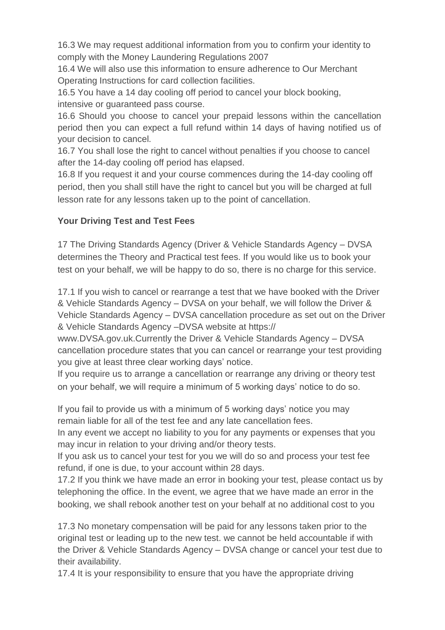16.3 We may request additional information from you to confirm your identity to comply with the Money Laundering Regulations 2007

16.4 We will also use this information to ensure adherence to Our Merchant Operating Instructions for card collection facilities.

16.5 You have a 14 day cooling off period to cancel your block booking, intensive or guaranteed pass course.

16.6 Should you choose to cancel your prepaid lessons within the cancellation period then you can expect a full refund within 14 days of having notified us of your decision to cancel.

16.7 You shall lose the right to cancel without penalties if you choose to cancel after the 14-day cooling off period has elapsed.

16.8 If you request it and your course commences during the 14-day cooling off period, then you shall still have the right to cancel but you will be charged at full lesson rate for any lessons taken up to the point of cancellation.

## **Your Driving Test and Test Fees**

17 The Driving Standards Agency (Driver & Vehicle Standards Agency – DVSA determines the Theory and Practical test fees. If you would like us to book your test on your behalf, we will be happy to do so, there is no charge for this service.

17.1 If you wish to cancel or rearrange a test that we have booked with the Driver & Vehicle Standards Agency – DVSA on your behalf, we will follow the Driver & Vehicle Standards Agency – DVSA cancellation procedure as set out on the Driver & Vehicle Standards Agency –DVSA website at https://

www.DVSA.gov.uk.Currently the Driver & Vehicle Standards Agency – DVSA cancellation procedure states that you can cancel or rearrange your test providing you give at least three clear working days' notice.

If you require us to arrange a cancellation or rearrange any driving or theory test on your behalf, we will require a minimum of 5 working days' notice to do so.

If you fail to provide us with a minimum of 5 working days' notice you may remain liable for all of the test fee and any late cancellation fees.

In any event we accept no liability to you for any payments or expenses that you may incur in relation to your driving and/or theory tests.

If you ask us to cancel your test for you we will do so and process your test fee refund, if one is due, to your account within 28 days.

17.2 If you think we have made an error in booking your test, please contact us by telephoning the office. In the event, we agree that we have made an error in the booking, we shall rebook another test on your behalf at no additional cost to you

17.3 No monetary compensation will be paid for any lessons taken prior to the original test or leading up to the new test. we cannot be held accountable if with the Driver & Vehicle Standards Agency – DVSA change or cancel your test due to their availability.

17.4 It is your responsibility to ensure that you have the appropriate driving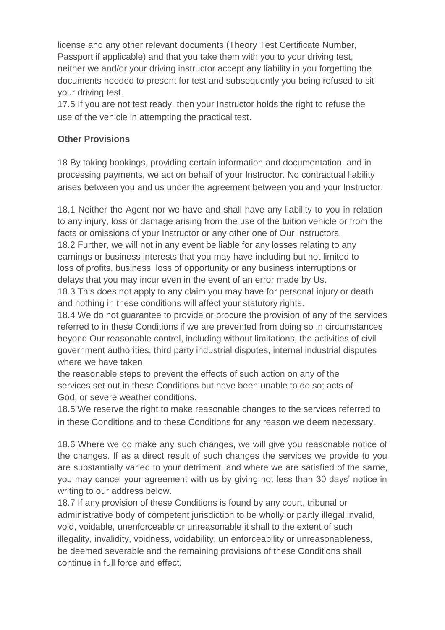license and any other relevant documents (Theory Test Certificate Number, Passport if applicable) and that you take them with you to your driving test, neither we and/or your driving instructor accept any liability in you forgetting the documents needed to present for test and subsequently you being refused to sit your driving test.

17.5 If you are not test ready, then your Instructor holds the right to refuse the use of the vehicle in attempting the practical test.

### **Other Provisions**

18 By taking bookings, providing certain information and documentation, and in processing payments, we act on behalf of your Instructor. No contractual liability arises between you and us under the agreement between you and your Instructor.

18.1 Neither the Agent nor we have and shall have any liability to you in relation to any injury, loss or damage arising from the use of the tuition vehicle or from the facts or omissions of your Instructor or any other one of Our Instructors.

18.2 Further, we will not in any event be liable for any losses relating to any earnings or business interests that you may have including but not limited to loss of profits, business, loss of opportunity or any business interruptions or delays that you may incur even in the event of an error made by Us.

18.3 This does not apply to any claim you may have for personal injury or death and nothing in these conditions will affect your statutory rights.

18.4 We do not guarantee to provide or procure the provision of any of the services referred to in these Conditions if we are prevented from doing so in circumstances beyond Our reasonable control, including without limitations, the activities of civil government authorities, third party industrial disputes, internal industrial disputes where we have taken

the reasonable steps to prevent the effects of such action on any of the services set out in these Conditions but have been unable to do so; acts of God, or severe weather conditions.

18.5 We reserve the right to make reasonable changes to the services referred to in these Conditions and to these Conditions for any reason we deem necessary.

18.6 Where we do make any such changes, we will give you reasonable notice of the changes. If as a direct result of such changes the services we provide to you are substantially varied to your detriment, and where we are satisfied of the same, you may cancel your agreement with us by giving not less than 30 days' notice in writing to our address below.

18.7 If any provision of these Conditions is found by any court, tribunal or administrative body of competent jurisdiction to be wholly or partly illegal invalid, void, voidable, unenforceable or unreasonable it shall to the extent of such illegality, invalidity, voidness, voidability, un enforceability or unreasonableness, be deemed severable and the remaining provisions of these Conditions shall continue in full force and effect.